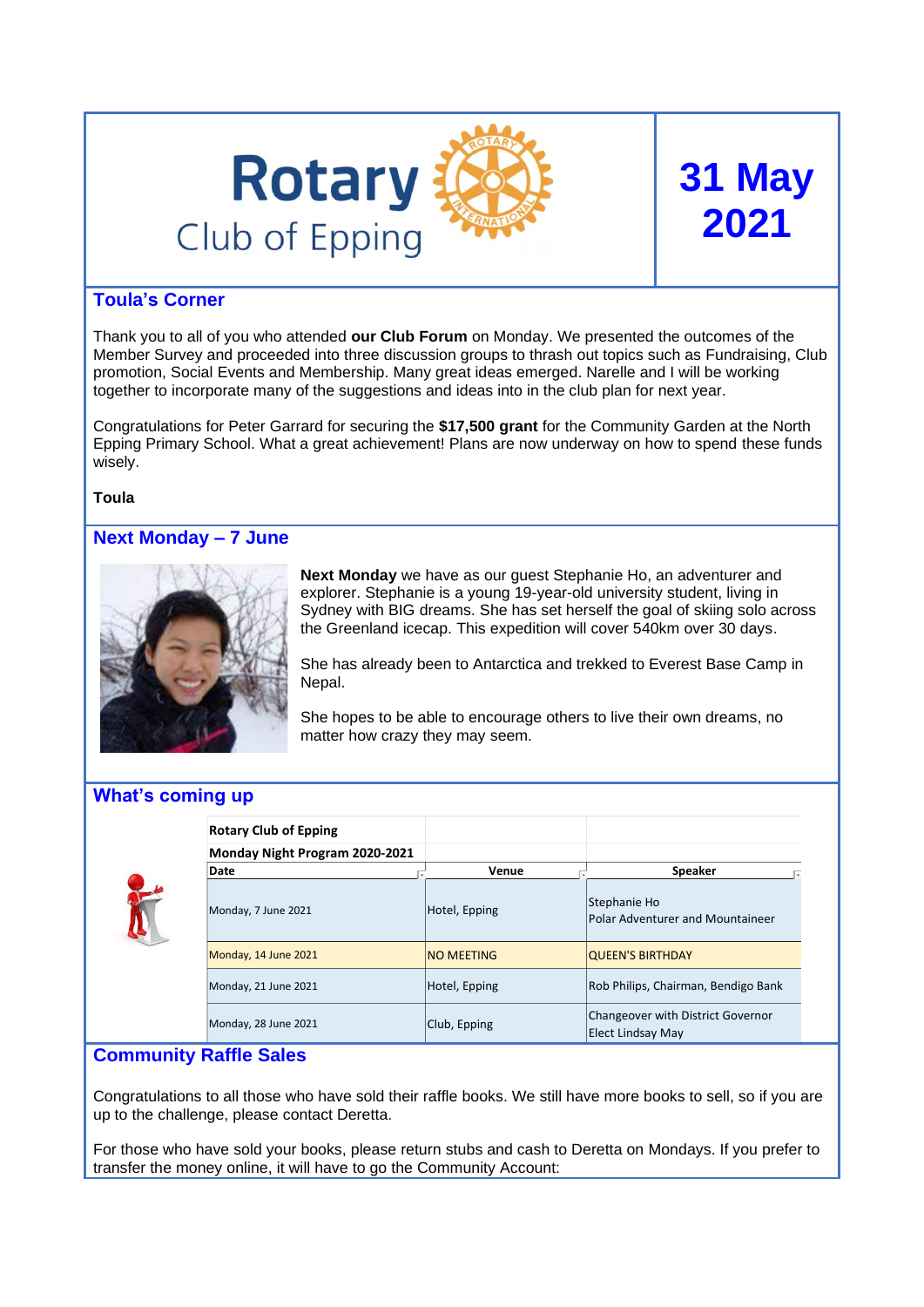

# **31 May 2021**

# **Toula's Corner**

Thank you to all of you who attended **our Club Forum** on Monday. We presented the outcomes of the Member Survey and proceeded into three discussion groups to thrash out topics such as Fundraising, Club promotion, Social Events and Membership. Many great ideas emerged. Narelle and I will be working together to incorporate many of the suggestions and ideas into in the club plan for next year.

Congratulations for Peter Garrard for securing the **\$17,500 grant** for the Community Garden at the North Epping Primary School. What a great achievement! Plans are now underway on how to spend these funds wisely.

**Toula**

# **Next Monday – 7 June**



**Next Monday** we have as our guest Stephanie Ho, an adventurer and explorer. Stephanie is a young 19-year-old university student, living in Sydney with BIG dreams. She has set herself the goal of skiing solo across the Greenland icecap. This expedition will cover 540km over 30 days.

She has already been to Antarctica and trekked to Everest Base Camp in Nepal.

She hopes to be able to encourage others to live their own dreams, no matter how crazy they may seem.

# **What's coming up**



| <b>Rotary Club of Epping</b>   |                   |                                                        |
|--------------------------------|-------------------|--------------------------------------------------------|
| Monday Night Program 2020-2021 |                   |                                                        |
| Date                           | Venue             | <b>Speaker</b>                                         |
| Monday, 7 June 2021            | Hotel, Epping     | Stephanie Ho<br>Polar Adventurer and Mountaineer       |
| Monday, 14 June 2021           | <b>NO MEETING</b> | <b>QUEEN'S BIRTHDAY</b>                                |
| Monday, 21 June 2021           | Hotel, Epping     | Rob Philips, Chairman, Bendigo Bank                    |
| Monday, 28 June 2021           | Club, Epping      | Changeover with District Governor<br>Elect Lindsay May |

# **Community Raffle Sales**

Congratulations to all those who have sold their raffle books. We still have more books to sell, so if you are up to the challenge, please contact Deretta.

For those who have sold your books, please return stubs and cash to Deretta on Mondays. If you prefer to transfer the money online, it will have to go the Community Account: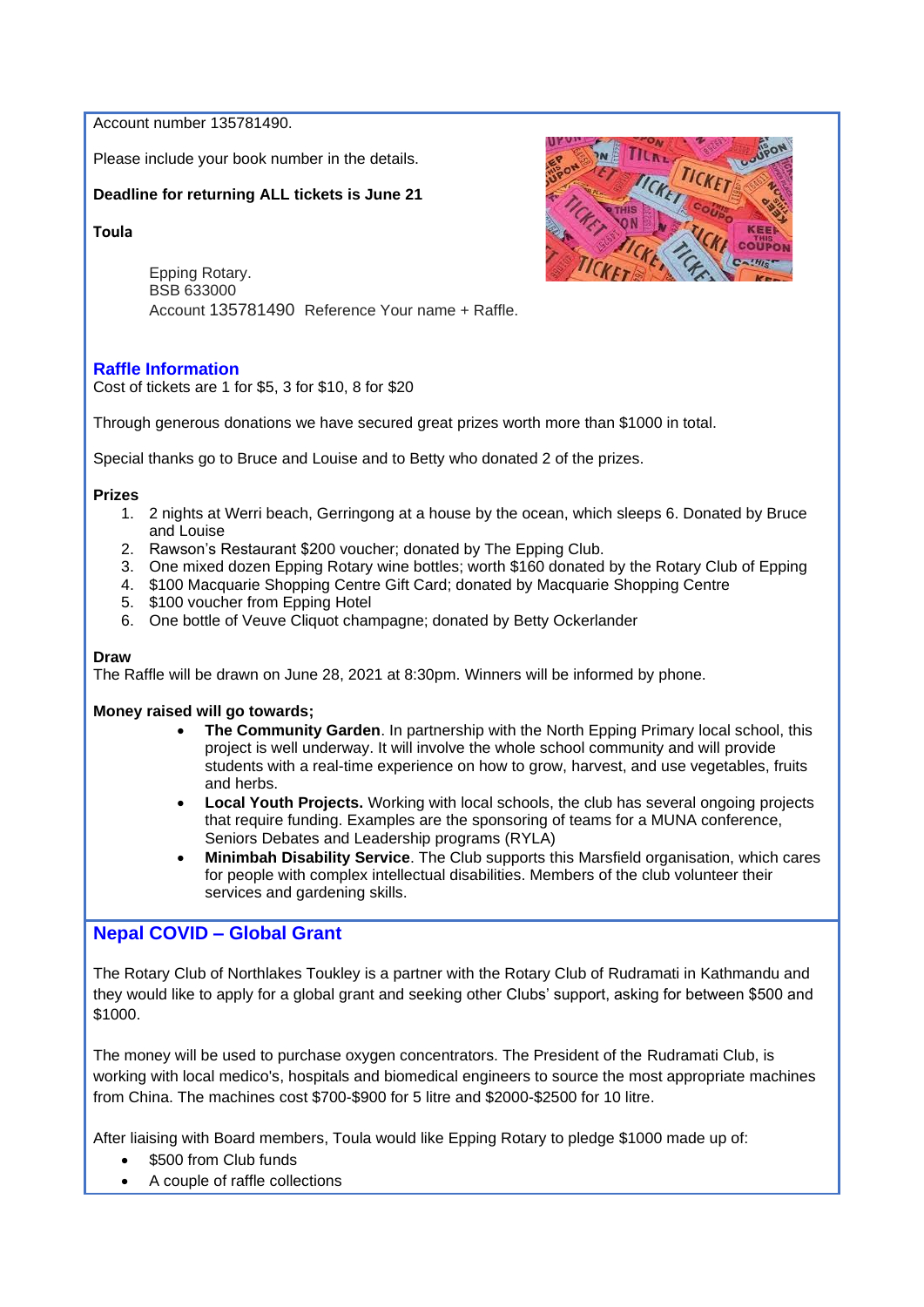Account number 135781490.

Please include your book number in the details.

# **Deadline for returning ALL tickets is June 21**

**Toula** 

Epping Rotary. BSB 633000 Account 135781490 Reference Your name + Raffle.

# **Raffle Information**

Cost of tickets are 1 for \$5, 3 for \$10, 8 for \$20

Through generous donations we have secured great prizes worth more than \$1000 in total.

Special thanks go to Bruce and Louise and to Betty who donated 2 of the prizes.

#### **Prizes**

- 1. 2 nights at Werri beach, Gerringong at a house by the ocean, which sleeps 6. Donated by Bruce and Louise
- 2. Rawson's Restaurant \$200 voucher; donated by The Epping Club.
- 3. One mixed dozen Epping Rotary wine bottles; worth \$160 donated by the Rotary Club of Epping
- 4. \$100 Macquarie Shopping Centre Gift Card; donated by Macquarie Shopping Centre
- 5. \$100 voucher from Epping Hotel
- 6. One bottle of Veuve Cliquot champagne; donated by Betty Ockerlander

#### **Draw**

The Raffle will be drawn on June 28, 2021 at 8:30pm. Winners will be informed by phone.

## **Money raised will go towards;**

- **The Community Garden**. In partnership with the North Epping Primary local school, this project is well underway. It will involve the whole school community and will provide students with a real-time experience on how to grow, harvest, and use vegetables, fruits and herbs.
- **Local Youth Projects.** Working with local schools, the club has several ongoing projects that require funding. Examples are the sponsoring of teams for a MUNA conference, Seniors Debates and Leadership programs (RYLA)
- **Minimbah Disability Service**. The Club supports this Marsfield organisation, which cares for people with complex intellectual disabilities. Members of the club volunteer their services and gardening skills.

# **Nepal COVID – Global Grant**

The Rotary Club of Northlakes Toukley is a partner with the Rotary Club of Rudramati in Kathmandu and they would like to apply for a global grant and seeking other Clubs' support, asking for between \$500 and \$1000.

The money will be used to purchase oxygen concentrators. The President of the Rudramati Club, is working with local medico's, hospitals and biomedical engineers to source the most appropriate machines from China. The machines cost \$700-\$900 for 5 litre and \$2000-\$2500 for 10 litre.

After liaising with Board members, Toula would like Epping Rotary to pledge \$1000 made up of:

- \$500 from Club funds
- A couple of raffle collections

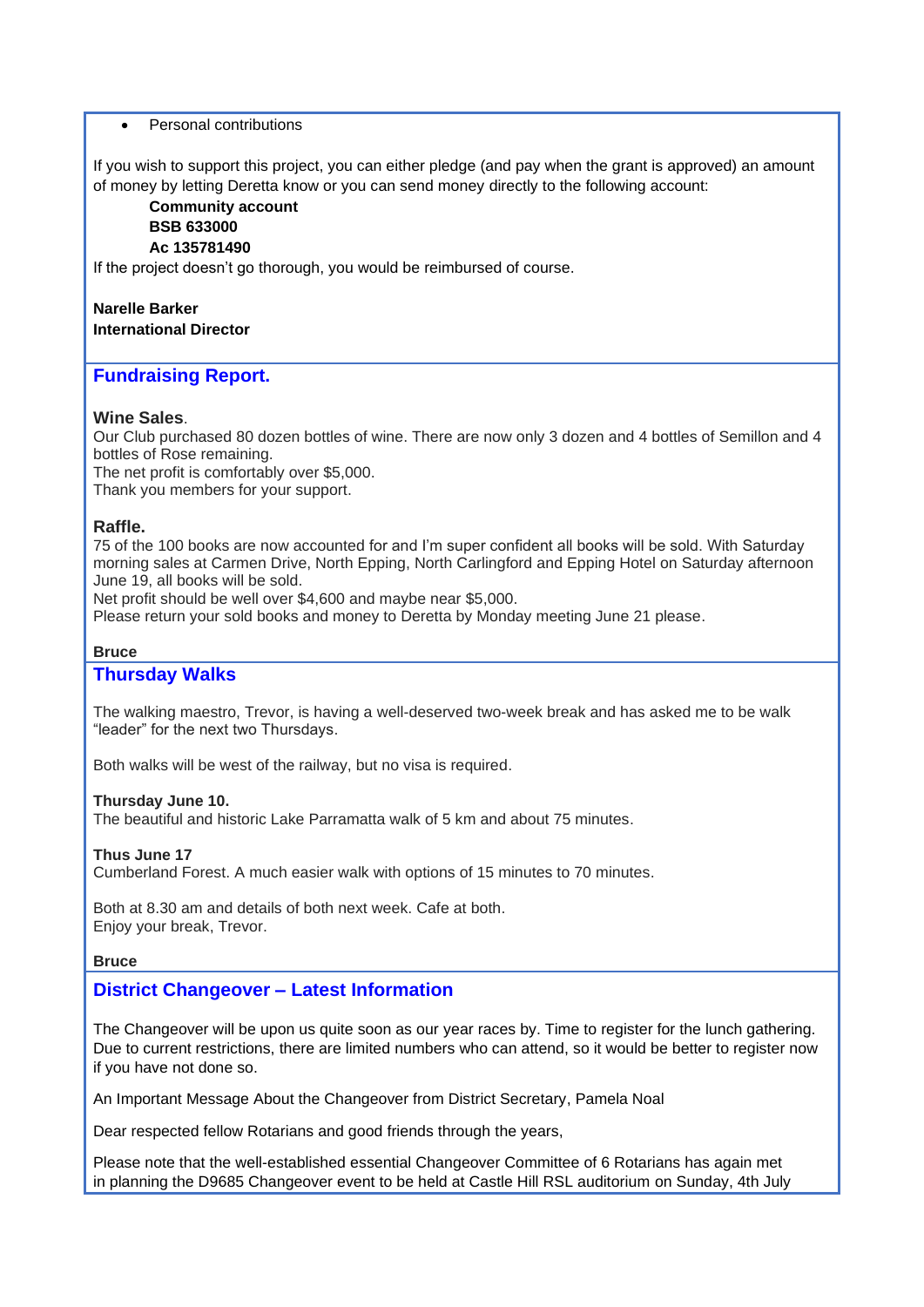## • Personal contributions

If you wish to support this project, you can either pledge (and pay when the grant is approved) an amount of money by letting Deretta know or you can send money directly to the following account:

# **Community account BSB 633000 Ac 135781490**

If the project doesn't go thorough, you would be reimbursed of course.

#### **Narelle Barker International Director**

# **Fundraising Report.**

## **Wine Sales**.

Our Club purchased 80 dozen bottles of wine. There are now only 3 dozen and 4 bottles of Semillon and 4 bottles of Rose remaining.

The net profit is comfortably over \$5,000.

Thank you members for your support.

# **Raffle.**

75 of the 100 books are now accounted for and I'm super confident all books will be sold. With Saturday morning sales at Carmen Drive, North Epping, North Carlingford and Epping Hotel on Saturday afternoon June 19, all books will be sold.

Net profit should be well over \$4,600 and maybe near \$5,000.

Please return your sold books and money to Deretta by Monday meeting June 21 please.

# **Bruce**

# **Thursday Walks**

The walking maestro, Trevor, is having a well-deserved two-week break and has asked me to be walk "leader" for the next two Thursdays.

Both walks will be west of the railway, but no visa is required.

## **Thursday June 10.**

The beautiful and historic Lake Parramatta walk of 5 km and about 75 minutes.

## **Thus June 17**

Cumberland Forest. A much easier walk with options of 15 minutes to 70 minutes.

Both at 8.30 am and details of both next week. Cafe at both. Enjoy your break, Trevor.

## **Bruce**

# **District Changeover – Latest Information**

The Changeover will be upon us quite soon as our year races by. Time to register for the lunch gathering. Due to current restrictions, there are limited numbers who can attend, so it would be better to register now if you have not done so.

An Important Message About the Changeover from District Secretary, Pamela Noal

Dear respected fellow Rotarians and good friends through the years,

Please note that the well-established essential Changeover Committee of 6 Rotarians has again met in planning the D9685 Changeover event to be held at Castle Hill RSL auditorium on Sunday, 4th July